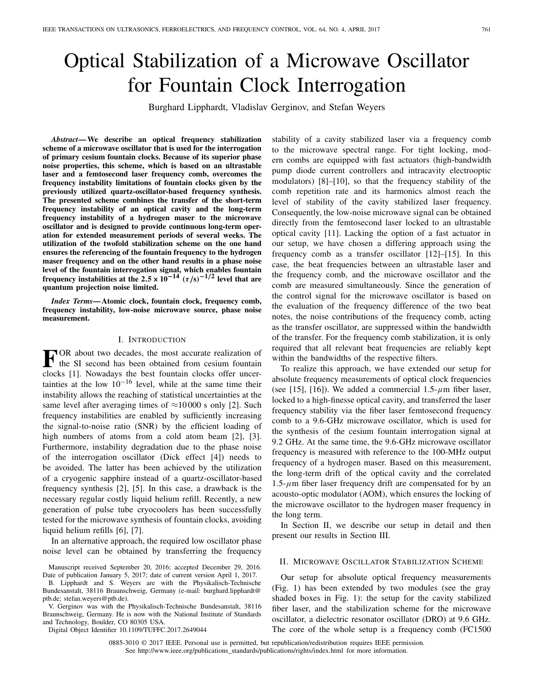# Optical Stabilization of a Microwave Oscillator for Fountain Clock Interrogation

Burghard Lipphardt, Vladislav Gerginov, and Stefan Weyers

*Abstract***— We describe an optical frequency stabilization scheme of a microwave oscillator that is used for the interrogation of primary cesium fountain clocks. Because of its superior phase noise properties, this scheme, which is based on an ultrastable laser and a femtosecond laser frequency comb, overcomes the frequency instability limitations of fountain clocks given by the previously utilized quartz-oscillator-based frequency synthesis. The presented scheme combines the transfer of the short-term frequency instability of an optical cavity and the long-term frequency instability of a hydrogen maser to the microwave oscillator and is designed to provide continuous long-term operation for extended measurement periods of several weeks. The utilization of the twofold stabilization scheme on the one hand ensures the referencing of the fountain frequency to the hydrogen maser frequency and on the other hand results in a phase noise level of the fountain interrogation signal, which enables fountain frequency instabilities at the 2.5**  $\times$   $10^{-14}$   $(\tau/s)^{-1/2}$  level that are **quantum projection noise limited.**

*Index Terms***— Atomic clock, fountain clock, frequency comb, frequency instability, low-noise microwave source, phase noise measurement.**

### I. INTRODUCTION

**FOR** about two decades, the most accurate realization of the SI second has been obtained from cesium fountain clocks [1]. Nowadays the best fountain clocks offer uncertainties at the low  $10^{-16}$  level, while at the same time their instability allows the reaching of statistical uncertainties at the same level after averaging times of  $\approx$ 10000 s only [2]. Such frequency instabilities are enabled by sufficiently increasing the signal-to-noise ratio (SNR) by the efficient loading of high numbers of atoms from a cold atom beam [2], [3]. Furthermore, instability degradation due to the phase noise of the interrogation oscillator (Dick effect [4]) needs to be avoided. The latter has been achieved by the utilization of a cryogenic sapphire instead of a quartz-oscillator-based frequency synthesis [2], [5]. In this case, a drawback is the necessary regular costly liquid helium refill. Recently, a new generation of pulse tube cryocoolers has been successfully tested for the microwave synthesis of fountain clocks, avoiding liquid helium refills [6], [7].

In an alternative approach, the required low oscillator phase noise level can be obtained by transferring the frequency

Digital Object Identifier 10.1109/TUFFC.2017.2649044

stability of a cavity stabilized laser via a frequency comb to the microwave spectral range. For tight locking, modern combs are equipped with fast actuators (high-bandwidth pump diode current controllers and intracavity electrooptic modulators) [8]–[10], so that the frequency stability of the comb repetition rate and its harmonics almost reach the level of stability of the cavity stabilized laser frequency. Consequently, the low-noise microwave signal can be obtained directly from the femtosecond laser locked to an ultrastable optical cavity [11]. Lacking the option of a fast actuator in our setup, we have chosen a differing approach using the frequency comb as a transfer oscillator [12]–[15]. In this case, the beat frequencies between an ultrastable laser and the frequency comb, and the microwave oscillator and the comb are measured simultaneously. Since the generation of the control signal for the microwave oscillator is based on the evaluation of the frequency difference of the two beat notes, the noise contributions of the frequency comb, acting as the transfer oscillator, are suppressed within the bandwidth of the transfer. For the frequency comb stabilization, it is only required that all relevant beat frequencies are reliably kept within the bandwidths of the respective filters.

To realize this approach, we have extended our setup for absolute frequency measurements of optical clock frequencies (see [15], [16]). We added a commercial  $1.5-\mu$ m fiber laser, locked to a high-finesse optical cavity, and transferred the laser frequency stability via the fiber laser femtosecond frequency comb to a 9.6-GHz microwave oscillator, which is used for the synthesis of the cesium fountain interrogation signal at 9.2 GHz. At the same time, the 9.6-GHz microwave oscillator frequency is measured with reference to the 100-MHz output frequency of a hydrogen maser. Based on this measurement, the long-term drift of the optical cavity and the correlated  $1.5$ - $\mu$ m fiber laser frequency drift are compensated for by an acousto-optic modulator (AOM), which ensures the locking of the microwave oscillator to the hydrogen maser frequency in the long term.

In Section II, we describe our setup in detail and then present our results in Section III.

### II. MICROWAVE OSCILLATOR STABILIZATION SCHEME

Our setup for absolute optical frequency measurements (Fig. 1) has been extended by two modules (see the gray shaded boxes in Fig. 1): the setup for the cavity stabilized fiber laser, and the stabilization scheme for the microwave oscillator, a dielectric resonator oscillator (DRO) at 9.6 GHz. The core of the whole setup is a frequency comb (FC1500

0885-3010 © 2017 IEEE. Personal use is permitted, but republication/redistribution requires IEEE permission. See http://www.ieee.org/publications\_standards/publications/rights/index.html for more information.

Manuscript received September 20, 2016; accepted December 29, 2016. Date of publication January 5, 2017; date of current version April 1, 2017.

B. Lipphardt and S. Weyers are with the Physikalisch-Technische Bundesanstalt, 38116 Braunschweig, Germany (e-mail: burghard.lipphardt@ ptb.de; stefan.weyers@ptb.de).

V. Gerginov was with the Physikalisch-Technische Bundesanstalt, 38116 Braunschweig, Germany. He is now with the National Institute of Standards and Technology, Boulder, CO 80305 USA.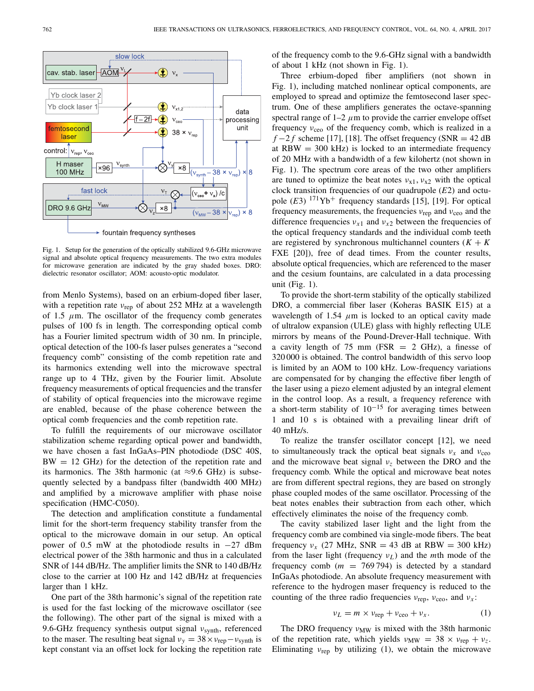

Fig. 1. Setup for the generation of the optically stabilized 9.6-GHz microwave signal and absolute optical frequency measurements. The two extra modules for microwave generation are indicated by the gray shaded boxes. DRO: dielectric resonator oscillator; AOM: acousto-optic modulator.

from Menlo Systems), based on an erbium-doped fiber laser, with a repetition rate  $v_{\text{rep}}$  of about 252 MHz at a wavelength of 1.5  $\mu$ m. The oscillator of the frequency comb generates pulses of 100 fs in length. The corresponding optical comb has a Fourier limited spectrum width of 30 nm. In principle, optical detection of the 100-fs laser pulses generates a "second frequency comb" consisting of the comb repetition rate and its harmonics extending well into the microwave spectral range up to 4 THz, given by the Fourier limit. Absolute frequency measurements of optical frequencies and the transfer of stability of optical frequencies into the microwave regime are enabled, because of the phase coherence between the optical comb frequencies and the comb repetition rate.

To fulfill the requirements of our microwave oscillator stabilization scheme regarding optical power and bandwidth, we have chosen a fast InGaAs–PIN photodiode (DSC 40S,  $BW = 12$  GHz) for the detection of the repetition rate and its harmonics. The 38th harmonic (at  $\approx$ 9.6 GHz) is subsequently selected by a bandpass filter (bandwidth 400 MHz) and amplified by a microwave amplifier with phase noise specification (HMC-C050).

The detection and amplification constitute a fundamental limit for the short-term frequency stability transfer from the optical to the microwave domain in our setup. An optical power of 0.5 mW at the photodiode results in −27 dBm electrical power of the 38th harmonic and thus in a calculated SNR of 144 dB/Hz. The amplifier limits the SNR to 140 dB/Hz close to the carrier at 100 Hz and 142 dB/Hz at frequencies larger than 1 kHz.

One part of the 38th harmonic's signal of the repetition rate is used for the fast locking of the microwave oscillator (see the following). The other part of the signal is mixed with a 9.6-GHz frequency synthesis output signal  $v_{synth}$ , referenced to the maser. The resulting beat signal  $v_y = 38 \times v_{\text{rep}} - v_{\text{synth}}$  is kept constant via an offset lock for locking the repetition rate

of the frequency comb to the 9.6-GHz signal with a bandwidth of about 1 kHz (not shown in Fig. 1).

Three erbium-doped fiber amplifiers (not shown in Fig. 1), including matched nonlinear optical components, are employed to spread and optimize the femtosecond laser spectrum. One of these amplifiers generates the octave-spanning spectral range of  $1-2$   $\mu$ m to provide the carrier envelope offset frequency  $v_{ceo}$  of the frequency comb, which is realized in a  $f - 2f$  scheme [17], [18]. The offset frequency (SNR = 42 dB) at  $RBW = 300$  kHz) is locked to an intermediate frequency of 20 MHz with a bandwidth of a few kilohertz (not shown in Fig. 1). The spectrum core areas of the two other amplifiers are tuned to optimize the beat notes  $v_{x1}$ ,  $v_{x2}$  with the optical clock transition frequencies of our quadrupole (*E*2) and octupole  $(E3)$  <sup>171</sup>Yb<sup>+</sup> frequency standards [15], [19]. For optical frequency measurements, the frequencies  $v_{\text{rep}}$  and  $v_{\text{ceo}}$  and the difference frequencies  $v_{x1}$  and  $v_{x2}$  between the frequencies of the optical frequency standards and the individual comb teeth are registered by synchronous multichannel counters  $(K + K)$ FXE [20]), free of dead times. From the counter results, absolute optical frequencies, which are referenced to the maser and the cesium fountains, are calculated in a data processing unit (Fig. 1).

To provide the short-term stability of the optically stabilized DRO, a commercial fiber laser (Koheras BASIK E15) at a wavelength of 1.54  $\mu$ m is locked to an optical cavity made of ultralow expansion (ULE) glass with highly reflecting ULE mirrors by means of the Pound-Drever-Hall technique. With a cavity length of 75 mm (FSR  $= 2$  GHz), a finesse of 320 000 is obtained. The control bandwidth of this servo loop is limited by an AOM to 100 kHz. Low-frequency variations are compensated for by changing the effective fiber length of the laser using a piezo element adjusted by an integral element in the control loop. As a result, a frequency reference with a short-term stability of  $10^{-15}$  for averaging times between 1 and 10 s is obtained with a prevailing linear drift of 40 mHz/s.

To realize the transfer oscillator concept [12], we need to simultaneously track the optical beat signals  $v_x$  and  $v_{ceo}$ and the microwave beat signal ν*z* between the DRO and the frequency comb. While the optical and microwave beat notes are from different spectral regions, they are based on strongly phase coupled modes of the same oscillator. Processing of the beat notes enables their subtraction from each other, which effectively eliminates the noise of the frequency comb.

The cavity stabilized laser light and the light from the frequency comb are combined via single-mode fibers. The beat frequency  $v_x$  (27 MHz, SNR = 43 dB at RBW = 300 kHz) from the laser light (frequency ν*L*) and the *m*th mode of the frequency comb  $(m = 769794)$  is detected by a standard InGaAs photodiode. An absolute frequency measurement with reference to the hydrogen maser frequency is reduced to the counting of the three radio frequencies  $v_{\text{rep}}$ ,  $v_{\text{ceo}}$ , and  $v_x$ :

$$
\nu_L = m \times \nu_{\rm rep} + \nu_{\rm ceo} + \nu_x. \tag{1}
$$

The DRO frequency  $v_{MW}$  is mixed with the 38th harmonic of the repetition rate, which yields  $v_{MW} = 38 \times v_{rep} + v_z$ . Eliminating  $v_{\text{rep}}$  by utilizing (1), we obtain the microwave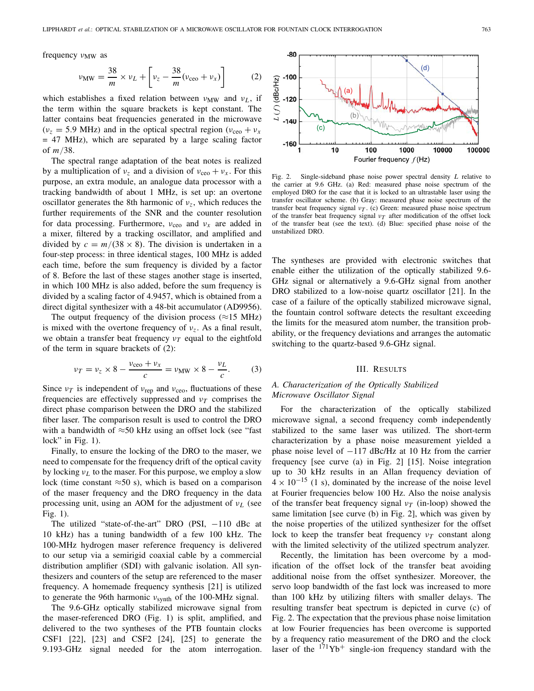frequency  $v_{MW}$  as

$$
\nu_{\rm MW} = \frac{38}{m} \times \nu_L + \left[\nu_z - \frac{38}{m}(\nu_{\rm ceo} + \nu_x)\right] \tag{2}
$$

which establishes a fixed relation between  $v_{MW}$  and  $v_L$ , if the term within the square brackets is kept constant. The latter contains beat frequencies generated in the microwave  $(v<sub>z</sub> = 5.9 \text{ MHz})$  and in the optical spectral region  $(v<sub>ceo</sub> + v<sub>x</sub>)$ = 47 MHz), which are separated by a large scaling factor of *m*/38.

The spectral range adaptation of the beat notes is realized by a multiplication of  $v_z$  and a division of  $v_{ceo} + v_x$ . For this purpose, an extra module, an analogue data processor with a tracking bandwidth of about 1 MHz, is set up: an overtone oscillator generates the 8th harmonic of ν*z*, which reduces the further requirements of the SNR and the counter resolution for data processing. Furthermore,  $v_{ceo}$  and  $v_x$  are added in a mixer, filtered by a tracking oscillator, and amplified and divided by  $c = m/(38 \times 8)$ . The division is undertaken in a four-step process: in three identical stages, 100 MHz is added each time, before the sum frequency is divided by a factor of 8. Before the last of these stages another stage is inserted, in which 100 MHz is also added, before the sum frequency is divided by a scaling factor of 4.9457, which is obtained from a direct digital synthesizer with a 48-bit accumulator (AD9956).

The output frequency of the division process ( $\approx$ 15 MHz) is mixed with the overtone frequency of ν*z*. As a final result, we obtain a transfer beat frequency  $v_T$  equal to the eightfold of the term in square brackets of (2):

$$
\nu_T = \nu_z \times 8 - \frac{\nu_{\text{ceo}} + \nu_x}{c} = \nu_{\text{MW}} \times 8 - \frac{\nu_L}{c}.
$$
 (3)

Since  $v_T$  is independent of  $v_{\text{rep}}$  and  $v_{\text{ceo}}$ , fluctuations of these frequencies are effectively suppressed and  $v<sub>T</sub>$  comprises the direct phase comparison between the DRO and the stabilized fiber laser. The comparison result is used to control the DRO with a bandwidth of  $\approx$ 50 kHz using an offset lock (see "fast lock" in Fig. 1).

Finally, to ensure the locking of the DRO to the maser, we need to compensate for the frequency drift of the optical cavity by locking ν*L* to the maser. For this purpose, we employ a slow lock (time constant  $\approx 50$  s), which is based on a comparison of the maser frequency and the DRO frequency in the data processing unit, using an AOM for the adjustment of ν*L* (see Fig. 1).

The utilized "state-of-the-art" DRO (PSI, -110 dBc at 10 kHz) has a tuning bandwidth of a few 100 kHz. The 100-MHz hydrogen maser reference frequency is delivered to our setup via a semirigid coaxial cable by a commercial distribution amplifier (SDI) with galvanic isolation. All synthesizers and counters of the setup are referenced to the maser frequency. A homemade frequency synthesis [21] is utilized to generate the 96th harmonic  $v_{synth}$  of the 100-MHz signal.

The 9.6-GHz optically stabilized microwave signal from the maser-referenced DRO (Fig. 1) is split, amplified, and delivered to the two syntheses of the PTB fountain clocks CSF1 [22], [23] and CSF2 [24], [25] to generate the 9.193-GHz signal needed for the atom interrogation.



Fig. 2. Single-sideband phase noise power spectral density *L* relative to the carrier at 9.6 GHz. (a) Red: measured phase noise spectrum of the employed DRO for the case that it is locked to an ultrastable laser using the transfer oscillator scheme. (b) Gray: measured phase noise spectrum of the transfer beat frequency signal  $v_T$ . (c) Green: measured phase noise spectrum of the transfer beat frequency signal  $v_T$  after modification of the offset lock of the transfer beat (see the text). (d) Blue: specified phase noise of the unstabilized DRO.

The syntheses are provided with electronic switches that enable either the utilization of the optically stabilized 9.6- GHz signal or alternatively a 9.6-GHz signal from another DRO stabilized to a low-noise quartz oscillator [21]. In the case of a failure of the optically stabilized microwave signal, the fountain control software detects the resultant exceeding the limits for the measured atom number, the transition probability, or the frequency deviations and arranges the automatic switching to the quartz-based 9.6-GHz signal.

#### III. RESULTS

## *A. Characterization of the Optically Stabilized Microwave Oscillator Signal*

For the characterization of the optically stabilized microwave signal, a second frequency comb independently stabilized to the same laser was utilized. The short-term characterization by a phase noise measurement yielded a phase noise level of −117 dBc/Hz at 10 Hz from the carrier frequency [see curve (a) in Fig. 2] [15]. Noise integration up to 30 kHz results in an Allan frequency deviation of  $4 \times 10^{-15}$  (1 s), dominated by the increase of the noise level at Fourier frequencies below 100 Hz. Also the noise analysis of the transfer beat frequency signal ν*T* (in-loop) showed the same limitation [see curve (b) in Fig. 2], which was given by the noise properties of the utilized synthesizer for the offset lock to keep the transfer beat frequency  $v_T$  constant along with the limited selectivity of the utilized spectrum analyzer.

Recently, the limitation has been overcome by a modification of the offset lock of the transfer beat avoiding additional noise from the offset synthesizer. Moreover, the servo loop bandwidth of the fast lock was increased to more than 100 kHz by utilizing filters with smaller delays. The resulting transfer beat spectrum is depicted in curve (c) of Fig. 2. The expectation that the previous phase noise limitation at low Fourier frequencies has been overcome is supported by a frequency ratio measurement of the DRO and the clock laser of the  $171Yb$ <sup>+</sup> single-ion frequency standard with the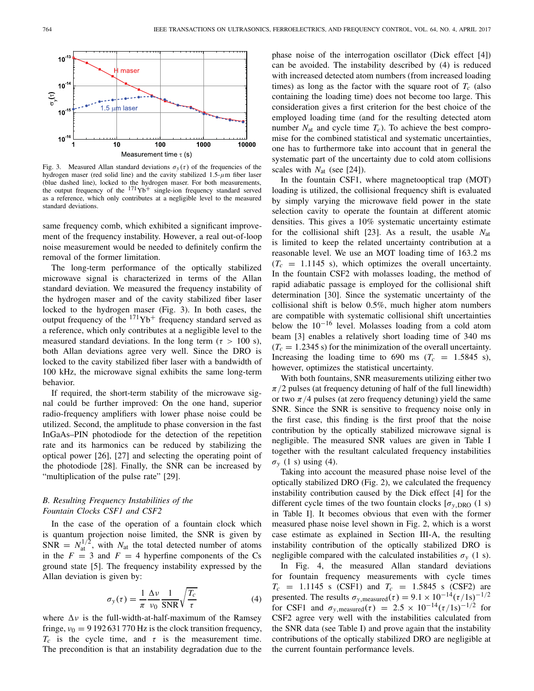

Fig. 3. Measured Allan standard deviations  $\sigma_y(\tau)$  of the frequencies of the hydrogen maser (red solid line) and the cavity stabilized  $1.5-\mu$ m fiber laser (blue dashed line), locked to the hydrogen maser. For both measurements, the output frequency of the  $171$  Yb<sup>+</sup> single-ion frequency standard served as a reference, which only contributes at a negligible level to the measured standard deviations.

same frequency comb, which exhibited a significant improvement of the frequency instability. However, a real out-of-loop noise measurement would be needed to definitely confirm the removal of the former limitation.

The long-term performance of the optically stabilized microwave signal is characterized in terms of the Allan standard deviation. We measured the frequency instability of the hydrogen maser and of the cavity stabilized fiber laser locked to the hydrogen maser (Fig. 3). In both cases, the output frequency of the  $171\text{Yb}^+$  frequency standard served as a reference, which only contributes at a negligible level to the measured standard deviations. In the long term ( $\tau > 100$  s), both Allan deviations agree very well. Since the DRO is locked to the cavity stabilized fiber laser with a bandwidth of 100 kHz, the microwave signal exhibits the same long-term behavior.

If required, the short-term stability of the microwave signal could be further improved: On the one hand, superior radio-frequency amplifiers with lower phase noise could be utilized. Second, the amplitude to phase conversion in the fast InGaAs–PIN photodiode for the detection of the repetition rate and its harmonics can be reduced by stabilizing the optical power [26], [27] and selecting the operating point of the photodiode [28]. Finally, the SNR can be increased by "multiplication of the pulse rate" [29].

## *B. Resulting Frequency Instabilities of the Fountain Clocks CSF1 and CSF2*

In the case of the operation of a fountain clock which is quantum projection noise limited, the SNR is given by  $SNR = N_{at}^{1/2}$ , with  $N_{at}$  the total detected number of atoms in the  $F = 3$  and  $F = 4$  hyperfine components of the Cs ground state [5]. The frequency instability expressed by the Allan deviation is given by:

$$
\sigma_{y}(\tau) = \frac{1}{\pi} \frac{\Delta v}{v_0} \frac{1}{\text{SNR}} \sqrt{\frac{T_c}{\tau}}
$$
(4)

where  $\Delta v$  is the full-width-at-half-maximum of the Ramsey fringe,  $v_0 = 9192631770$  Hz is the clock transition frequency,  $T_c$  is the cycle time, and  $\tau$  is the measurement time. The precondition is that an instability degradation due to the

phase noise of the interrogation oscillator (Dick effect [4]) can be avoided. The instability described by (4) is reduced with increased detected atom numbers (from increased loading times) as long as the factor with the square root of  $T_c$  (also containing the loading time) does not become too large. This consideration gives a first criterion for the best choice of the employed loading time (and for the resulting detected atom number  $N_{at}$  and cycle time  $T_c$ ). To achieve the best compromise for the combined statistical and systematic uncertainties, one has to furthermore take into account that in general the systematic part of the uncertainty due to cold atom collisions scales with *N*at (see [24]).

In the fountain CSF1, where magnetooptical trap (MOT) loading is utilized, the collisional frequency shift is evaluated by simply varying the microwave field power in the state selection cavity to operate the fountain at different atomic densities. This gives a 10% systematic uncertainty estimate for the collisional shift [23]. As a result, the usable *N*at is limited to keep the related uncertainty contribution at a reasonable level. We use an MOT loading time of 163.2 ms  $(T_c = 1.1145 \text{ s})$ , which optimizes the overall uncertainty. In the fountain CSF2 with molasses loading, the method of rapid adiabatic passage is employed for the collisional shift determination [30]. Since the systematic uncertainty of the collisional shift is below 0.5%, much higher atom numbers are compatible with systematic collisional shift uncertainties below the  $10^{-16}$  level. Molasses loading from a cold atom beam [3] enables a relatively short loading time of 340 ms  $(T_c = 1.2345 \text{ s})$  for the minimization of the overall uncertainty. Increasing the loading time to 690 ms  $(T_c = 1.5845 \text{ s})$ , however, optimizes the statistical uncertainty.

With both fountains, SNR measurements utilizing either two  $\pi/2$  pulses (at frequency detuning of half of the full linewidth) or two  $\pi/4$  pulses (at zero frequency detuning) yield the same SNR. Since the SNR is sensitive to frequency noise only in the first case, this finding is the first proof that the noise contribution by the optically stabilized microwave signal is negligible. The measured SNR values are given in Table I together with the resultant calculated frequency instabilities  $\sigma_v$  (1 s) using (4).

Taking into account the measured phase noise level of the optically stabilized DRO (Fig. 2), we calculated the frequency instability contribution caused by the Dick effect [4] for the different cycle times of the two fountain clocks  $[\sigma_{v, DRO} (1 s)]$ in Table I]. It becomes obvious that even with the former measured phase noise level shown in Fig. 2, which is a worst case estimate as explained in Section III-A, the resulting instability contribution of the optically stabilized DRO is negligible compared with the calculated instabilities  $\sigma_y$  (1 s).

In Fig. 4, the measured Allan standard deviations for fountain frequency measurements with cycle times  $T_c$  = 1.1145 s (CSF1) and  $T_c$  = 1.5845 s (CSF2) are presented. The results  $\sigma_{y,\text{measured}}(\tau) = 9.1 \times 10^{-14} (\tau/1s)^{-1/2}$ for CSF1 and  $\sigma_{y,\text{measured}}(\tau) = 2.5 \times 10^{-14} (\tau/1s)^{-1/2}$  for CSF2 agree very well with the instabilities calculated from the SNR data (see Table I) and prove again that the instability contributions of the optically stabilized DRO are negligible at the current fountain performance levels.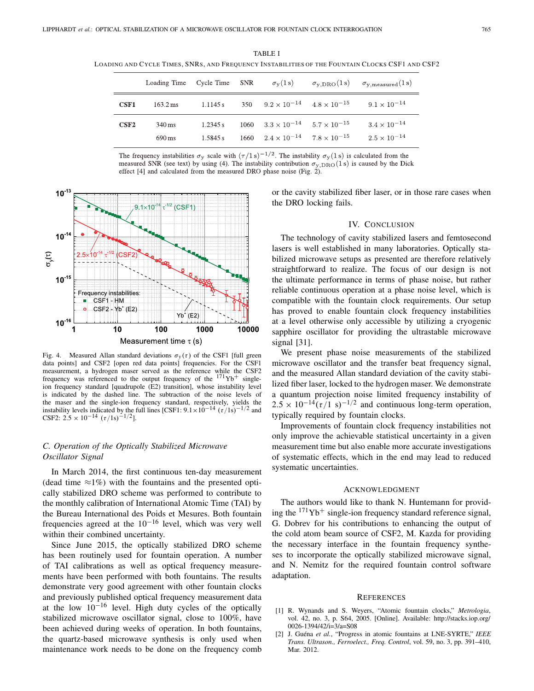TABLE I LOADING AND CYCLE TIMES, SNRS, AND FREQUENCY INSTABILITIES OF THE FOUNTAIN CLOCKS CSF1 AND CSF2

|                  | Loading Time Cycle Time SNR |                      | $\sigma_{\rm v}(1\,{\rm s})$                                                                               |                                                 | $\sigma_{y, \text{DRO}}(1\,\text{s})$ $\sigma_{y, \text{measured}}(1\,\text{s})$ |
|------------------|-----------------------------|----------------------|------------------------------------------------------------------------------------------------------------|-------------------------------------------------|----------------------------------------------------------------------------------|
| CSF1             | $163.2 \,\text{ms}$         | 1.1145 s             |                                                                                                            | 350 $9.2 \times 10^{-14}$ $4.8 \times 10^{-15}$ | $9.1 \times 10^{-14}$                                                            |
| C <sub>SF2</sub> | 340 ms<br>690 ms            | 1.2345 s<br>1.5845 s | $1060$ $3.3 \times 10^{-14}$ $5.7 \times 10^{-15}$<br>$1660 \t 2.4 \times 10^{-14} \t 7.8 \times 10^{-15}$ |                                                 | $3.4 \times 10^{-14}$<br>$2.5 \times 10^{-14}$                                   |

The frequency instabilities  $\sigma_{\rm v}$  scale with  $(\tau/1\,\rm s)^{-1/2}$ . The instability  $\sigma_{\rm v}(1\,\rm s)$  is calculated from the measured SNR (see text) by using (4). The instability contribution  $\sigma_{y, \text{DRO}}(1s)$  is caused by the Dick effect [4] and calculated from the measured DRO phase noise (Fig.  $2$ ).



Fig. 4. Measured Allan standard deviations  $\sigma_y(\tau)$  of the CSF1 [full green data points] and CSF2 [open red data points] frequencies. For the CSF1 measurement, a hydrogen maser served as the reference while the CSF2 frequency was referenced to the output frequency of the  $171\text{Yb}^+$  singleion frequency standard [quadrupole (E2) transition], whose instability level is indicated by the dashed line. The subtraction of the noise levels of the maser and the single-ion frequency standard, respectively, yields the instability levels indicated by the full lines [CSF1:  $9.1 \times 10^{-14}$  ( $\tau/1s$ )<sup>-1/2</sup> and CSF2:  $2.5 \times 10^{-14}$   $(\tau/1s)^{-1/2}$ ].

## *C. Operation of the Optically Stabilized Microwave Oscillator Signal*

In March 2014, the first continuous ten-day measurement (dead time  $\approx$ 1%) with the fountains and the presented optically stabilized DRO scheme was performed to contribute to the monthly calibration of International Atomic Time (TAI) by the Bureau International des Poids et Mesures. Both fountain frequencies agreed at the  $10^{-16}$  level, which was very well within their combined uncertainty.

Since June 2015, the optically stabilized DRO scheme has been routinely used for fountain operation. A number of TAI calibrations as well as optical frequency measurements have been performed with both fountains. The results demonstrate very good agreement with other fountain clocks and previously published optical frequency measurement data at the low  $10^{-16}$  level. High duty cycles of the optically stabilized microwave oscillator signal, close to 100%, have been achieved during weeks of operation. In both fountains, the quartz-based microwave synthesis is only used when maintenance work needs to be done on the frequency comb

or the cavity stabilized fiber laser, or in those rare cases when the DRO locking fails.

## IV. CONCLUSION

The technology of cavity stabilized lasers and femtosecond lasers is well established in many laboratories. Optically stabilized microwave setups as presented are therefore relatively straightforward to realize. The focus of our design is not the ultimate performance in terms of phase noise, but rather reliable continuous operation at a phase noise level, which is compatible with the fountain clock requirements. Our setup has proved to enable fountain clock frequency instabilities at a level otherwise only accessible by utilizing a cryogenic sapphire oscillator for providing the ultrastable microwave signal [31].

We present phase noise measurements of the stabilized microwave oscillator and the transfer beat frequency signal, and the measured Allan standard deviation of the cavity stabilized fiber laser, locked to the hydrogen maser. We demonstrate a quantum projection noise limited frequency instability of  $2.5 \times 10^{-14} (\tau/1 \text{ s})^{-1/2}$  and continuous long-term operation, typically required by fountain clocks.

Improvements of fountain clock frequency instabilities not only improve the achievable statistical uncertainty in a given measurement time but also enable more accurate investigations of systematic effects, which in the end may lead to reduced systematic uncertainties.

## ACKNOWLEDGMENT

The authors would like to thank N. Huntemann for providing the  $171\text{Yb}^+$  single-ion frequency standard reference signal, G. Dobrev for his contributions to enhancing the output of the cold atom beam source of CSF2, M. Kazda for providing the necessary interface in the fountain frequency syntheses to incorporate the optically stabilized microwave signal, and N. Nemitz for the required fountain control software adaptation.

#### **REFERENCES**

- [1] R. Wynands and S. Weyers, "Atomic fountain clocks," *Metrologia*, vol. 42, no. 3, p. S64, 2005. [Online]. Available: http://stacks.iop.org/ 0026-1394/42/i=3/a=S08
- [2] J. Guéna *et al.*, "Progress in atomic fountains at LNE-SYRTE," *IEEE Trans. Ultrason., Ferroelect., Freq. Control*, vol. 59, no. 3, pp. 391–410, Mar. 2012.